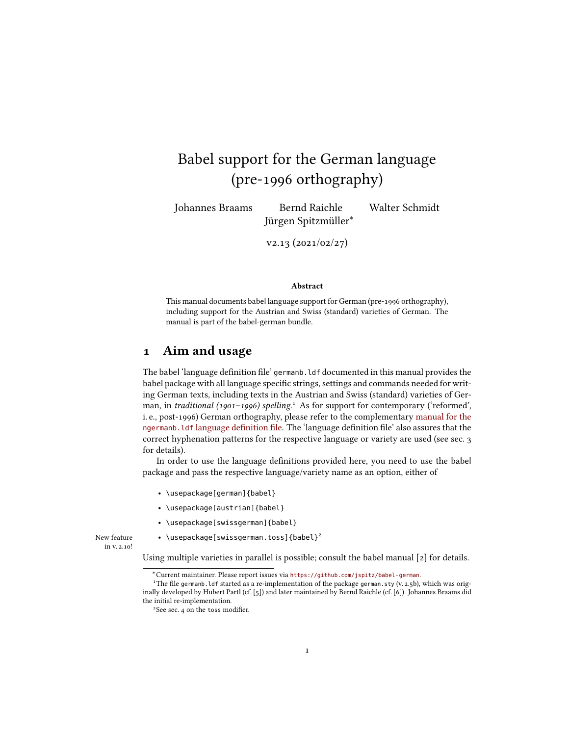# Babel support for the German language (pre-1996 orthography)

Johannes Braams Bernd Raichle Walter Schmidt Jürgen Spitzmüller<sup>∗</sup>

v2.13 (2021/02/27)

#### Abstract

This manual documents babel language support for German (pre-1996 orthography), including support for the Austrian and Swiss (standard) varieties of German. The manual is part of the babel-german bundle.

### 1 Aim and usage

The babel 'language definition file' germanb. ldf documented in this manual provides the babel package with all language specific strings, settings and commands needed for writing German texts, including texts in the Austrian and Swiss (standard) varieties of Ger-man, in traditional ([1](#page-0-0)901-1996) spelling.<sup>1</sup> As for support for contemporary ('reformed', i. e., post-1996) German orthography, please refer to the complementary manual for the ngermanb.ldf language definition file. The 'language definition file' also assures that the correct hyphenation patterns for the respective language or variety are used (see sec. [3](#page-2-0) for details).

In order to use the language definitions provided here, you need to use the babel package and pass the respective language/variety name as an option, either of

- \usepackage[german]{babel}
- \usepackage[austrian]{babel}
- \usepackage[swissgerman]{babel}

New feature  $\qquad \bullet \ \texttt{\textbackslash}$  \usepackage[swissgerman.toss]{babel} $^2$  $^2$ in v. 2.10!

Using multiple varieties in parallel is possible; consult the babel manual [\[2\]](#page-13-0) for details.

<span id="page-0-0"></span><sup>∗</sup>Current maintainer. Please report issues via <https://github.com/jspitz/babel-german>.

<sup>&</sup>lt;sup>1</sup>The file germanb. ldf started as a re-implementation of the package german. sty (v. 2.5b), which was originally developed by Hubert Partl (cf. [\[5\]](#page-13-1)) and later maintained by Bernd Raichle (cf. [\[6\]](#page-13-2)). Johannes Braams did the initial re-implementation.

<span id="page-0-1"></span><sup>&</sup>lt;sup>2</sup>See sec. [4](#page-3-0) on the toss modifier.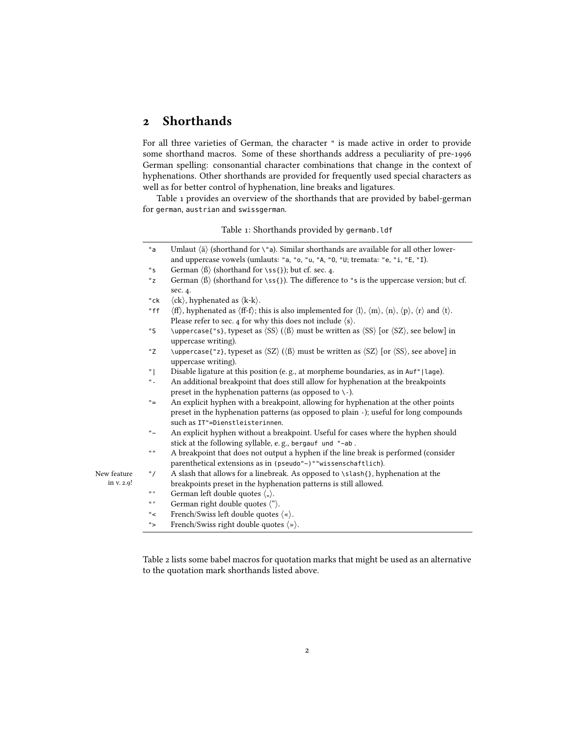## 2 Shorthands

For all three varieties of German, the character " is made active in order to provide some shorthand macros. Some of these shorthands address a peculiarity of pre-1996 German spelling: consonantial character combinations that change in the context of hyphenations. Other shorthands are provided for frequently used special characters as well as for better control of hyphenation, line breaks and ligatures.

<span id="page-1-0"></span>Table [1](#page-1-0) provides an overview of the shorthands that are provided by babel-german for german, austrian and swissgerman.

Table 1: Shorthands provided by germanb.ldf

|            | "a                      | Umlaut $\langle$ ä $\rangle$ (shorthand for \"a). Similar shorthands are available for all other lower-                                                                                                                          |
|------------|-------------------------|----------------------------------------------------------------------------------------------------------------------------------------------------------------------------------------------------------------------------------|
|            |                         | and uppercase vowels (umlauts: "a, "o, "u, "A, "0, "U; tremata: "e, "i, "E, "I).                                                                                                                                                 |
|            | "s                      | German $\langle \beta \rangle$ (shorthand for \ss{}); but cf. sec. 4.                                                                                                                                                            |
|            | "z"                     | German $\langle \beta \rangle$ (shorthand for \ss{}). The difference to "s is the uppercase version; but cf.                                                                                                                     |
|            |                         | sec. 4.                                                                                                                                                                                                                          |
|            | "ck                     | $\langle$ ck $\rangle$ , hyphenated as $\langle$ k-k $\rangle$ .                                                                                                                                                                 |
|            | "ff                     | $\langle ff \rangle$ , hyphenated as $\langle ff-f \rangle$ ; this is also implemented for $\langle l \rangle$ , $\langle m \rangle$ , $\langle n \rangle$ , $\langle p \rangle$ , $\langle r \rangle$ and $\langle t \rangle$ . |
|            |                         | Please refer to sec. 4 for why this does not include $\langle s \rangle$ .                                                                                                                                                       |
|            | "S                      | \uppercase{"s}, typeset as $\langle SS \rangle$ ( $\langle B \rangle$ must be written as $\langle SS \rangle$ [or $\langle SZ \rangle$ , see below] in                                                                           |
|            |                         | uppercase writing).                                                                                                                                                                                                              |
|            | "Z                      | \uppercase{"z}, typeset as $\langle SZ \rangle$ ( $\langle B \rangle$ ) must be written as $\langle SZ \rangle$ [or $\langle SS \rangle$ , see above] in                                                                         |
|            |                         | uppercase writing).                                                                                                                                                                                                              |
|            | "                       | Disable ligature at this position (e.g., at morpheme boundaries, as in Auf"   lage).                                                                                                                                             |
|            | $^{\rm H}$ .            | An additional breakpoint that does still allow for hyphenation at the breakpoints                                                                                                                                                |
|            |                         | preset in the hyphenation patterns (as opposed to $\backslash$ -).                                                                                                                                                               |
|            | $" =$                   | An explicit hyphen with a breakpoint, allowing for hyphenation at the other points                                                                                                                                               |
|            |                         | preset in the hyphenation patterns (as opposed to plain -); useful for long compounds                                                                                                                                            |
|            |                         | such as IT"=Dienstleisterinnen.                                                                                                                                                                                                  |
|            | $^{\rm n}$ $\sim$       | An explicit hyphen without a breakpoint. Useful for cases where the hyphen should                                                                                                                                                |
|            |                         | stick at the following syllable, e.g., bergauf und "~ab.                                                                                                                                                                         |
|            | $\mathbf{0},\mathbf{0}$ | A breakpoint that does not output a hyphen if the line break is performed (consider                                                                                                                                              |
|            |                         | parenthetical extensions as in (pseudo"~)""wissenschaftlich).                                                                                                                                                                    |
| w feature  | " $\prime$              | A slash that allows for a linebreak. As opposed to \slash{}, hyphenation at the                                                                                                                                                  |
| in v. 2.9! |                         | breakpoints preset in the hyphenation patterns is still allowed.                                                                                                                                                                 |
|            | $\mathbf{u}$ .          | German left double quotes $\langle , \rangle$ .                                                                                                                                                                                  |
|            | $\mathbf{u}$ ,          | German right double quotes $\langle$ " $\rangle$ .                                                                                                                                                                               |
|            | $"$ <                   | French/Swiss left double quotes $\langle \cdot \rangle$ .                                                                                                                                                                        |
|            |                         |                                                                                                                                                                                                                                  |

"> French/Swiss right double quotes  $\langle \rangle$ .

New

Table [2](#page-2-1) lists some babel macros for quotation marks that might be used as an alternative to the quotation mark shorthands listed above.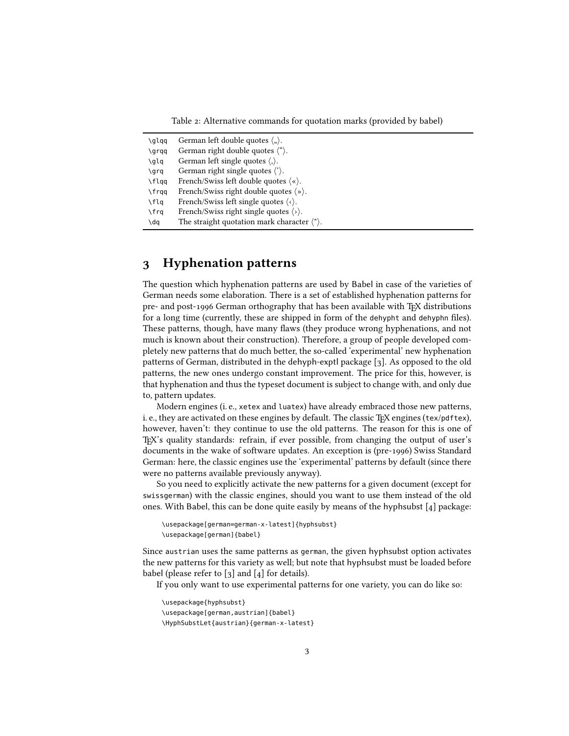Table 2: Alternative commands for quotation marks (provided by babel)

<span id="page-2-1"></span>

| \qlqq | German left double quotes $\langle \cdot, \cdot \rangle$ .    |
|-------|---------------------------------------------------------------|
| \qrqq | German right double quotes $\langle$ " $\rangle$ .            |
| \qlq  | German left single quotes $\langle \cdot \rangle$ .           |
| \qrq  | German right single quotes $\langle \cdot \rangle$ .          |
| \flqq | French/Swiss left double quotes $\langle \cdot \rangle$ .     |
| \frqq | French/Swiss right double quotes $\langle \rangle$ .          |
| \flq  | French/Swiss left single quotes $\langle \cdot \rangle$ .     |
| \frq  | French/Swiss right single quotes $\langle \rangle$ .          |
| \dq   | The straight quotation mark character $\langle$ " $\rangle$ . |

## <span id="page-2-0"></span>3 Hyphenation patterns

The question which hyphenation patterns are used by Babel in case of the varieties of German needs some elaboration. There is a set of established hyphenation patterns for pre- and post-1996 German orthography that has been available with TFX distributions for a long time (currently, these are shipped in form of the dehypht and dehyphn files). These patterns, though, have many flaws (they produce wrong hyphenations, and not much is known about their construction). Therefore, a group of people developed completely new patterns that do much better, the so-called 'experimental' new hyphenation patterns of German, distributed in the dehyph-exptl package [\[3\]](#page-13-3). As opposed to the old patterns, the new ones undergo constant improvement. The price for this, however, is that hyphenation and thus the typeset document is subject to change with, and only due to, pattern updates.

Modern engines (i. e., xetex and luatex) have already embraced those new patterns, i. e., they are activated on these engines by default. The classic TFX engines (tex/pdftex), however, haven't: they continue to use the old patterns. The reason for this is one of TEX's quality standards: refrain, if ever possible, from changing the output of user's documents in the wake of software updates. An exception is (pre-1996) Swiss Standard German: here, the classic engines use the 'experimental' patterns by default (since there were no patterns available previously anyway).

So you need to explicitly activate the new patterns for a given document (except for swissgerman) with the classic engines, should you want to use them instead of the old ones. With Babel, this can be done quite easily by means of the hyphsubst [\[4\]](#page-13-4) package:

```
\usepackage[german=german-x-latest]{hyphsubst}
\usepackage[german]{babel}
```
Since austrian uses the same patterns as german, the given hyphsubst option activates the new patterns for this variety as well; but note that hyphsubst must be loaded before babel (please refer to  $\lceil 3 \rceil$  and  $\lceil 4 \rceil$  for details).

If you only want to use experimental patterns for one variety, you can do like so:

\usepackage{hyphsubst} \usepackage[german,austrian]{babel} \HyphSubstLet{austrian}{german-x-latest}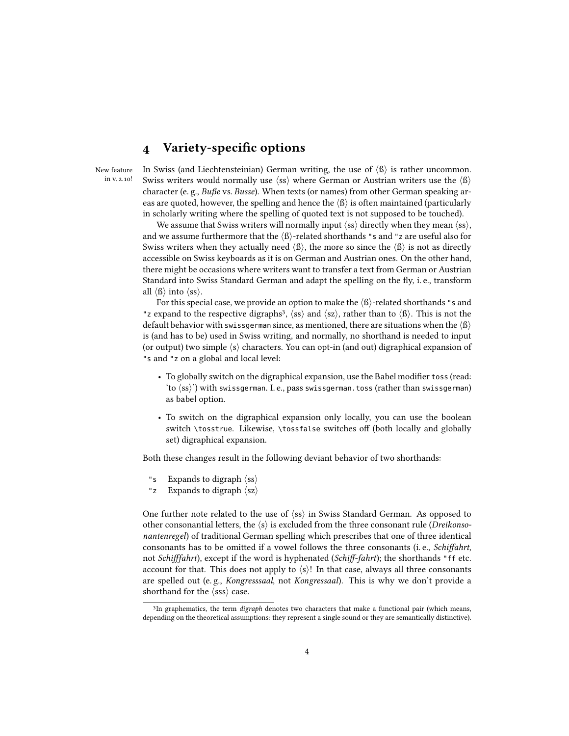## <span id="page-3-0"></span>4 Variety-specific options

New feature in v. 2.10! In Swiss (and Liechtensteinian) German writing, the use of  $\langle \hat{B} \rangle$  is rather uncommon. Swiss writers would normally use  $\langle ss \rangle$  where German or Austrian writers use the  $\langle \beta \rangle$ character (e.g.,  $Bu\beta e$  vs. Busse). When texts (or names) from other German speaking areas are quoted, however, the spelling and hence the  $\langle \beta \rangle$  is often maintained (particularly in scholarly writing where the spelling of quoted text is not supposed to be touched).

We assume that Swiss writers will normally input  $\langle ss \rangle$  directly when they mean  $\langle ss \rangle$ , and we assume furthermore that the  $\langle \text{B} \rangle$ -related shorthands "s and "z are useful also for Swiss writers when they actually need  $\langle \beta \rangle$ , the more so since the  $\langle \beta \rangle$  is not as directly accessible on Swiss keyboards as it is on German and Austrian ones. On the other hand, there might be occasions where writers want to transfer a text from German or Austrian Standard into Swiss Standard German and adapt the spelling on the fly, i.e., transform all  $\langle \beta \rangle$  into  $\langle \text{ss} \rangle$ .

For this special case, we provide an option to make the  $\langle \beta \rangle$ -related shorthands "s and "z expand to the respective digraphs<sup>[3](#page-3-1)</sup>,  $\langle ss \rangle$  and  $\langle sz \rangle$ , rather than to  $\langle \beta \rangle$ . This is not the default behavior with swissgerman since, as mentioned, there are situations when the  $\langle \beta \rangle$ is (and has to be) used in Swiss writing, and normally, no shorthand is needed to input (or output) two simple  $\langle s \rangle$  characters. You can opt-in (and out) digraphical expansion of "s and "z on a global and local level:

- To globally switch on the digraphical expansion, use the Babel modifier toss (read: 'to  $\langle ss \rangle$ ') with swissgerman. I. e., pass swissgerman.toss (rather than swissgerman) as babel option.
- To switch on the digraphical expansion only locally, you can use the boolean switch \tosstrue. Likewise, \tossfalse switches off (both locally and globally set) digraphical expansion.

Both these changes result in the following deviant behavior of two shorthands:

- "s Expands to digraph  $\langle ss \rangle$
- "z Expands to digraph  $\langle sz \rangle$

One further note related to the use of  $\langle ss \rangle$  in Swiss Standard German. As opposed to other consonantial letters, the  $\langle s \rangle$  is excluded from the three consonant rule (*Dreikonso*nantenregel) of traditional German spelling which prescribes that one of three identical consonants has to be omitted if a vowel follows the three consonants (i.e., Schiffahrt, not Schifffahrt), except if the word is hyphenated (Schiff-fahrt); the shorthands "ff etc. account for that. This does not apply to  $\langle s \rangle$ ! In that case, always all three consonants are spelled out (e. g., Kongresssaal, not Kongressaal). This is why we don't provide a shorthand for the  $\langle sss \rangle$  case.

<span id="page-3-1"></span><sup>&</sup>lt;sup>3</sup>In graphematics, the term *digraph* denotes two characters that make a functional pair (which means, depending on the theoretical assumptions: they represent a single sound or they are semantically distinctive).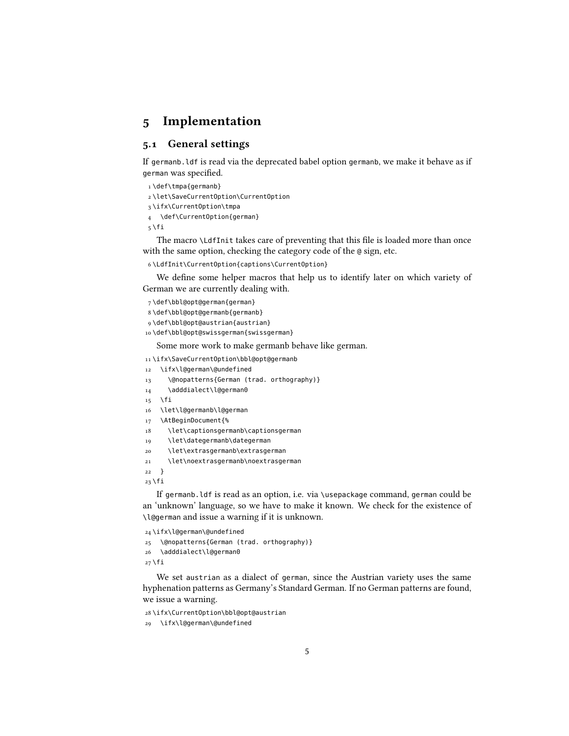## 5 Implementation

#### 5.1 General settings

If germanb.ldf is read via the deprecated babel option germanb, we make it behave as if german was specified.

```
1 \def\tmpa{germanb}
```
- 2 \let\SaveCurrentOption\CurrentOption
- 3 \ifx\CurrentOption\tmpa
- 4 \def\CurrentOption{german}
- $5 \setminus fi$

The macro \LdfInit takes care of preventing that this file is loaded more than once with the same option, checking the category code of the @ sign, etc.

6 \LdfInit\CurrentOption{captions\CurrentOption}

We define some helper macros that help us to identify later on which variety of German we are currently dealing with.

```
7 \def\bbl@opt@german{german}
```
- 8 \def\bbl@opt@germanb{germanb}
- 9 \def\bbl@opt@austrian{austrian}
- 10 \def\bbl@opt@swissgerman{swissgerman}

Some more work to make germanb behave like german.

11 \ifx\SaveCurrentOption\bbl@opt@germanb

```
12 \ifx\l@german\@undefined
```
- 13 \@nopatterns{German (trad. orthography)}
- 14 \adddialect\l@german0
- $15$  \fi
- 16 \let\l@germanb\l@german
- 17 \AtBeginDocument{%
- 18 \let\captionsgermanb\captionsgerman
- 19 \let\dategermanb\dategerman
- 20 \let\extrasgermanb\extrasgerman
- 21 \let\noextrasgermanb\noextrasgerman
- 22 }

 $23 \overline{1}$ 

If germanb.ldf is read as an option, i.e. via \usepackage command, german could be an 'unknown' language, so we have to make it known. We check for the existence of \l@german and issue a warning if it is unknown.

24 \ifx\l@german\@undefined

```
25 \@nopatterns{German (trad. orthography)}
```
26 \adddialect\l@german0

 $27$  \fi

We set austrian as a dialect of german, since the Austrian variety uses the same hyphenation patterns as Germany's Standard German. If no German patterns are found, we issue a warning.

```
28 \ifx\CurrentOption\bbl@opt@austrian
```

```
29 \ifx\l@german\@undefined
```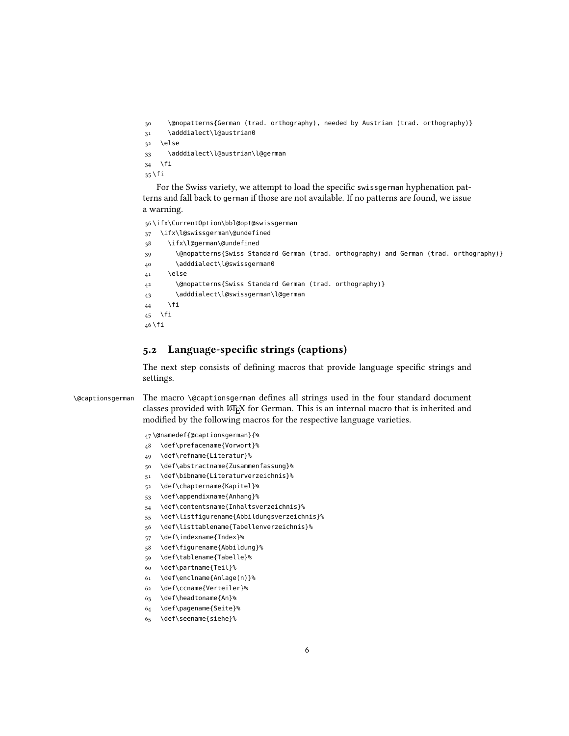```
30 \@nopatterns{German (trad. orthography), needed by Austrian (trad. orthography)}
31 \adddialect\l@austrian0
32 \else
33 \adddialect\l@austrian\l@german
34 \fi
35 \fi
```
For the Swiss variety, we attempt to load the specific swissgerman hyphenation patterns and fall back to german if those are not available. If no patterns are found, we issue a warning.

 \ifx\CurrentOption\bbl@opt@swissgerman \ifx\l@swissgerman\@undefined \ifx\l@german\@undefined \@nopatterns{Swiss Standard German (trad. orthography) and German (trad. orthography)} \adddialect\l@swissgerman0 41 \else \@nopatterns{Swiss Standard German (trad. orthography)} \adddialect\l@swissgerman\l@german \fi  $\forall$ fi \fi

#### 5.2 Language-specific strings (captions)

The next step consists of defining macros that provide language specific strings and settings.

\@captionsgerman The macro \@captionsgerman defines all strings used in the four standard document classes provided with ETEX for German. This is an internal macro that is inherited and modified by the following macros for the respective language varieties.

\@namedef{@captionsgerman}{%

- \def\prefacename{Vorwort}%
- \def\refname{Literatur}%
- \def\abstractname{Zusammenfassung}%
- \def\bibname{Literaturverzeichnis}%
- \def\chaptername{Kapitel}%
- \def\appendixname{Anhang}%
- \def\contentsname{Inhaltsverzeichnis}%
- \def\listfigurename{Abbildungsverzeichnis}%
- \def\listtablename{Tabellenverzeichnis}%
- \def\indexname{Index}%
- \def\figurename{Abbildung}%
- \def\tablename{Tabelle}%
- \def\partname{Teil}%
- \def\enclname{Anlage(n)}%
- \def\ccname{Verteiler}%
- \def\headtoname{An}%
- \def\pagename{Seite}%
- \def\seename{siehe}%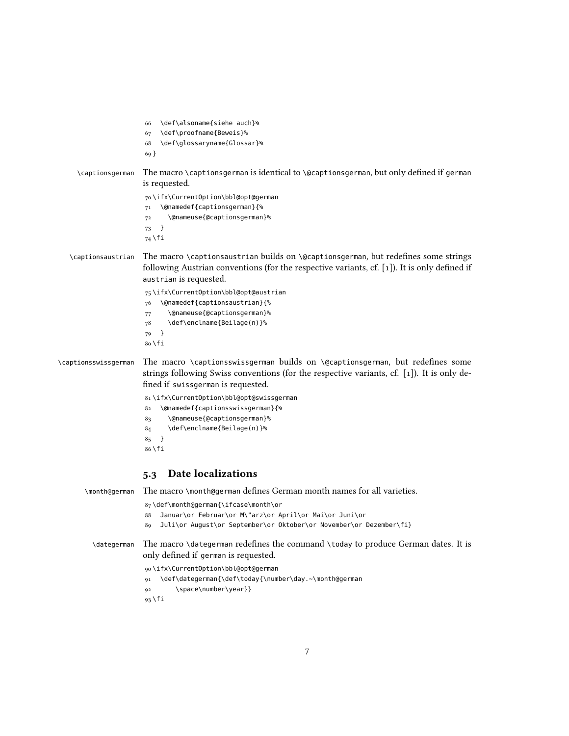|                      | \def\alsoname{siehe auch}%<br>66<br>\def\proofname{Beweis}%<br>67<br>\def\glossaryname{Glossar}%<br>68<br>$69$ }                                                                                                  |
|----------------------|-------------------------------------------------------------------------------------------------------------------------------------------------------------------------------------------------------------------|
| \captionsgerman      | The macro \captionsgerman is identical to \@captionsgerman, but only defined if german<br>is requested.                                                                                                           |
|                      | 70\ifx\CurrentOption\bbl@opt@german<br>\@namedef{captionsgerman}{%<br>71<br>\@nameuse{@captionsgerman}%<br>72                                                                                                     |
|                      | $\mathcal{F}$<br>73<br>74 \fi                                                                                                                                                                                     |
| \captionsaustrian    | The macro \captionsaustrian builds on \@captionsgerman, but redefines some strings<br>following Austrian conventions (for the respective variants, cf. $[1]$ ). It is only defined if<br>austrian is requested.   |
|                      | 75\ifx\CurrentOption\bbl@opt@austrian                                                                                                                                                                             |
|                      | \@namedef{captionsaustrian}{%<br>76<br>\@nameuse{@captionsgerman}%                                                                                                                                                |
|                      | 77<br>\def\enclname{Beilage(n)}%<br>78                                                                                                                                                                            |
|                      | $\mathcal{F}$<br>79<br>80 \fi                                                                                                                                                                                     |
| \captionsswissgerman | The macro \captionsswissgerman builds on \@captionsgerman, but redefines some<br>strings following Swiss conventions (for the respective variants, cf. [1]). It is only de-<br>fined if swissgerman is requested. |
|                      | 81\ifx\CurrentOption\bbl@opt@swissgerman                                                                                                                                                                          |
|                      | \@namedef{captionsswissgerman}{%<br>82                                                                                                                                                                            |
|                      | \@nameuse{@captionsgerman}%<br>83<br>\def\enclname{Beilage(n)}%<br>84                                                                                                                                             |
|                      | 85<br>$\mathcal{F}$                                                                                                                                                                                               |
|                      | 86 \fi                                                                                                                                                                                                            |
|                      | Date localizations<br>5.3                                                                                                                                                                                         |
| \month@german        | The macro \month@german defines German month names for all varieties.                                                                                                                                             |
|                      | 87\def\month@german{\ifcase\month\or                                                                                                                                                                              |
|                      | Januar\or Februar\or M\"arz\or April\or Mai\or Juni\or<br>88<br>Juli\or August\or September\or Oktober\or November\or Dezember\fi}<br>89                                                                          |
| \dategerman          | The macro \dategerman redefines the command \today to produce German dates. It is<br>only defined if german is requested.                                                                                         |
|                      | 90\ifx\CurrentOption\bbl@opt@german                                                                                                                                                                               |
|                      | \def\dategerman{\def\today{\number\day.~\month@german<br>91                                                                                                                                                       |
|                      | \space\number\year}}<br>92<br>93 \fi                                                                                                                                                                              |
|                      |                                                                                                                                                                                                                   |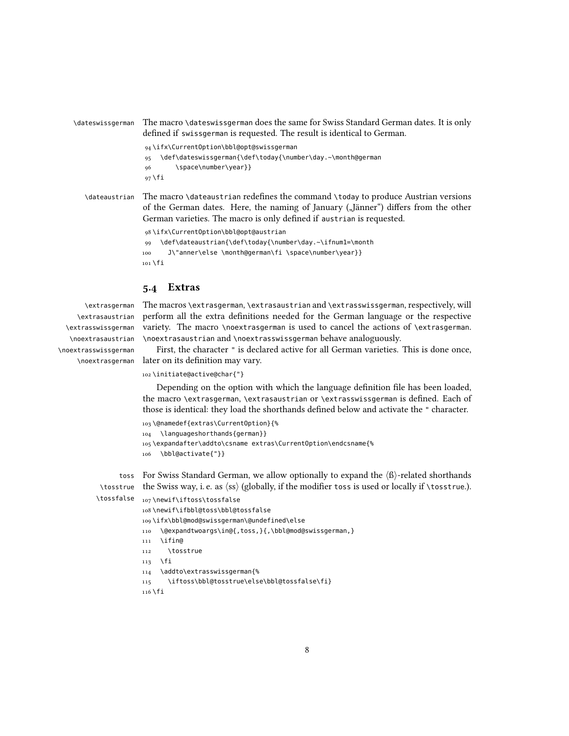\dateswissgerman The macro \dateswissgerman does the same for Swiss Standard German dates. It is only defined if swissgerman is requested. The result is identical to German. 94 \ifx\CurrentOption\bbl@opt@swissgerman 95 \def\dateswissgerman{\def\today{\number\day.~\month@german 96 \space\number\year}}  $97$  \fi

\dateaustrian The macro \dateaustrian redefines the command \today to produce Austrian versions of the German dates. Here, the naming of January ("Jänner") differs from the other German varieties. The macro is only defined if austrian is requested.

```
98 \ifx\CurrentOption\bbl@opt@austrian
99 \def\dateaustrian{\def\today{\number\day.~\ifnum1=\month
100 J\"anner\else \month@german\fi \space\number\year}}
101 \fi
```
### 5.4 Extras

\extrasgerman \extrasaustrian \extrasswissgerman \noextrasaustrian \noextrasswissgerman

The macros \extrasgerman, \extrasaustrian and \extrasswissgerman, respectively, will perform all the extra definitions needed for the German language or the respective variety. The macro \noextrasgerman is used to cancel the actions of \extrasgerman. \noextrasaustrian and \noextrasswissgerman behave analoguously.

\noextrasgerman later on its definition may vary. First, the character " is declared active for all German varieties. This is done once,

```
102 \initiate@active@char{"}
```
Depending on the option with which the language definition file has been loaded, the macro \extrasgerman, \extrasaustrian or \extrasswissgerman is defined. Each of those is identical: they load the shorthands defined below and activate the " character.

```
103 \@namedef{extras\CurrentOption}{%
104 \languageshorthands{german}}
105 \expandafter\addto\csname extras\CurrentOption\endcsname{%
106 \bbl@activate{"}}
```
toss For Swiss Standard German, we allow optionally to expand the  $\langle \text{B} \rangle$ -related shorthands \tosstrue  $\,$  the Swiss way, i. e. as  $\langle$ ss $\rangle$  (globally, if the modifier toss is used or locally if \tosstrue.).

```
\tossfalse
107 \newif\iftoss\tossfalse
            108 \newif\ifbbl@toss\bbl@tossfalse
            109 \ifx\bbl@mod@swissgerman\@undefined\else
            110 \@expandtwoargs\in@{,toss,}{,\bbl@mod@swissgerman,}
            111 \quad \text{Vifina}112 \tosstrue
            113 \fi
            114 \addto\extrasswissgerman{%
            115 \iftoss\bbl@tosstrue\else\bbl@tossfalse\fi}
            116 \fi
```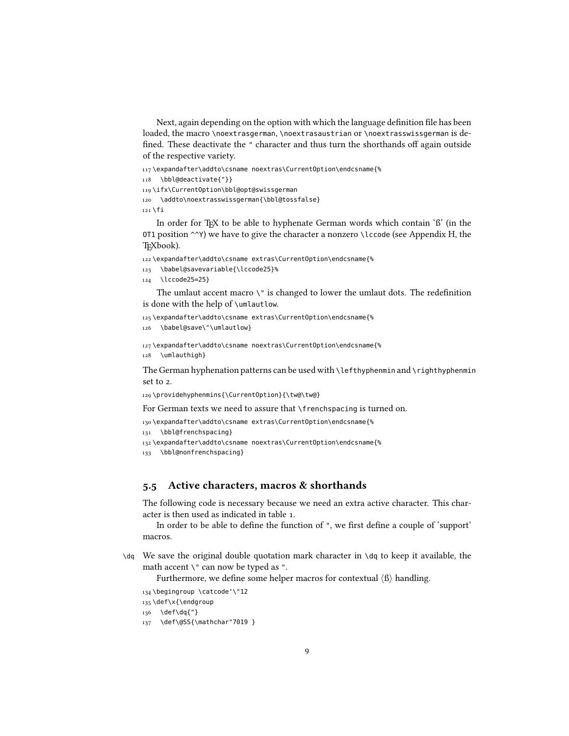Next, again depending on the option with which the language definition file has been loaded, the macro \noextrasgerman, \noextrasaustrian or \noextrasswissgerman is de fined. These deactivate the " character and thus turn the shorthands off again outside of the respective variety.

117 \expandafter\addto\csname noextras\CurrentOption\endcsname{%

```
118 \bbl@deactivate{"}}
```
119 \ifx\CurrentOption\bbl@opt@swissgerman

```
120 \addto\noextrasswissgerman{\bbl@tossfalse}
```
121 \fi

In order for TEX to be able to hyphenate German words which contain 'ß' (in the OT1 position  $\sim$ Y) we have to give the character a nonzero \lccode (see Appendix H, the TEXbook).

122 \expandafter\addto\csname extras\CurrentOption\endcsname{%

```
123 \babel@savevariable{\lccode25}%
```

```
124 \lccode25=25}
```
The umlaut accent macro  $\Upsilon$  is changed to lower the umlaut dots. The redefinition is done with the help of \umlautlow.

```
125 \expandafter\addto\csname extras\CurrentOption\endcsname{%
126 \babel@save\"\umlautlow}
```
127 \expandafter\addto\csname noextras\CurrentOption\endcsname{%

128 \umlauthigh}

The German hyphenation patterns can be used with \lefthyphenmin and \righthyphenmin set to 2.

129 \providehyphenmins{\CurrentOption}{\tw@\tw@}

For German texts we need to assure that \frenchspacing is turned on.

```
130 \expandafter\addto\csname extras\CurrentOption\endcsname{%
```

```
131 \bbl@frenchspacing}
```
132 \expandafter\addto\csname noextras\CurrentOption\endcsname{%

```
133 \bbl@nonfrenchspacing}
```
#### 5.5 Active characters, macros & shorthands

The following code is necessary because we need an extra active character. This character is then used as indicated in table [1.](#page-1-0)

In order to be able to define the function of ", we first define a couple of 'support' macros.

 $\mathcal{A}$  We save the original double quotation mark character in  $\mathcal{A}$  to keep it available, the math accent \" can now be typed as ".

Furthermore, we define some helper macros for contextual  $\langle \beta \rangle$  handling.

```
134 \begingroup \catcode'\"12
```

```
135 \def\x{\endgroup
```

```
136 \def\dq{"}
```

```
137 \def\@SS{\mathchar"7019 }
```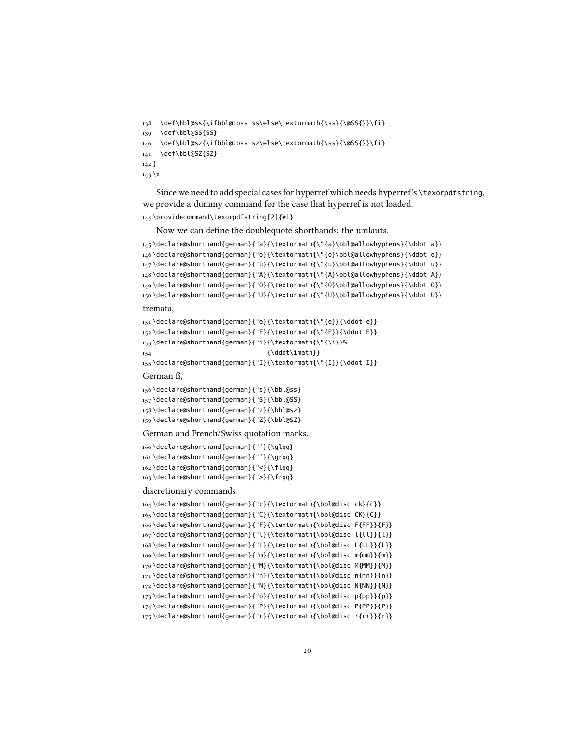```
138 \def\bbl@ss{\ifbbl@toss ss\else\textormath{\ss}{\@SS{}}\fi}
139 \def\bbl@SS{SS}
140 \def\bbl@sz{\ifbbl@toss sz\else\textormath{\ss}{\@SS{}}\fi}
141 \def\bbl@SZ{SZ}
142 }
143 \lambda
```
Since we need to add special cases for hyperref which needs hyperref's \texorpdfstring, we provide a dummy command for the case that hyperref is not loaded.

```
144 \providecommand\texorpdfstring[2]{#1}
```
Now we can define the doublequote shorthands: the umlauts,

```
145 \declare@shorthand{german}{"a}{\textormath{\"{a}\bbl@allowhyphens}{\ddot a}}
146 \declare@shorthand{german}{"o}{\textormath{\"{o}\bbl@allowhyphens}{\ddot o}}
147\declare@shorthand{german}{"u}{\textormath{\"{u}\bbl@allowhyphens}{\ddot u}}
148 \declare@shorthand{german}{"A}{\textormath{\"{A}\bbl@allowhyphens}{\ddot A}}
149 \declare@shorthand{german}{"O}{\textormath{\"{O}\bbl@allowhyphens}{\ddot O}}
150 \declare@shorthand{german}{"U}{\textormath{\"{U}\bbl@allowhyphens}{\ddot U}}
```
tremata,

```
151 \declare@shorthand{german}{"e}{\textormath{\"{e}}{\ddot e}}
152\declare@shorthand{german}{"E}{\textormath{\"{E}}{\ddot E}}
153 \declare@shorthand{german}{"i}{\textormath{\"{\i}}%
154 (\ddot\imath}}
155 \declare@shorthand{german}{"I}{\textormath{\"{I}}{\ddot I}}
```
German ß,

```
156 \declare@shorthand{german}{"s}{\bbl@ss}
157 \declare@shorthand{german}{"S}{\bbl@SS}
158 \declare@shorthand{german}{"z}{\bbl@sz}
159 \declare@shorthand{german}{"Z}{\bbl@SZ}
```
German and French/Swiss quotation marks,

```
160 \declare@shorthand{german}{"'}{\glqq}
161 \declare@shorthand{german}{"'}{\grqq}
162 \declare@shorthand{german}{"<}{\flqq}
163 \declare@shorthand{german}{">}{\frqq}
```
#### discretionary commands

```
164 \declare@shorthand{german}{"c}{\textormath{\bbl@disc ck}{c}}
165 \declare@shorthand{german}{"C}{\textormath{\bbl@disc CK}{C}}
166 \declare@shorthand{german}{"F}{\textormath{\bbl@disc F{FF}}{F}}
167 \declare@shorthand{german}{"l}{\textormath{\bbl@disc l{ll}}{l}}
168 \declare@shorthand{german}{"L}{\textormath{\bbl@disc L{LL}}{L}}
169 \declare@shorthand{german}{"m}{\textormath{\bbl@disc m{mm}}{m}}
170 \declare@shorthand{german}{"M}{\textormath{\bbl@disc M{MM}}{M}}
171 \declare@shorthand{german}{"n}{\textormath{\bbl@disc n{nn}}{n}}
172 \declare@shorthand{german}{"N}{\textormath{\bbl@disc N{NN}}{N}}
173 \declare@shorthand{german}{"p}{\textormath{\bbl@disc p{pp}}{p}}
174 \declare@shorthand{german}{"P}{\textormath{\bbl@disc P{PP}}{P}}
175 \declare@shorthand{german}{"r}{\textormath{\bbl@disc r{rr}}{r}}
```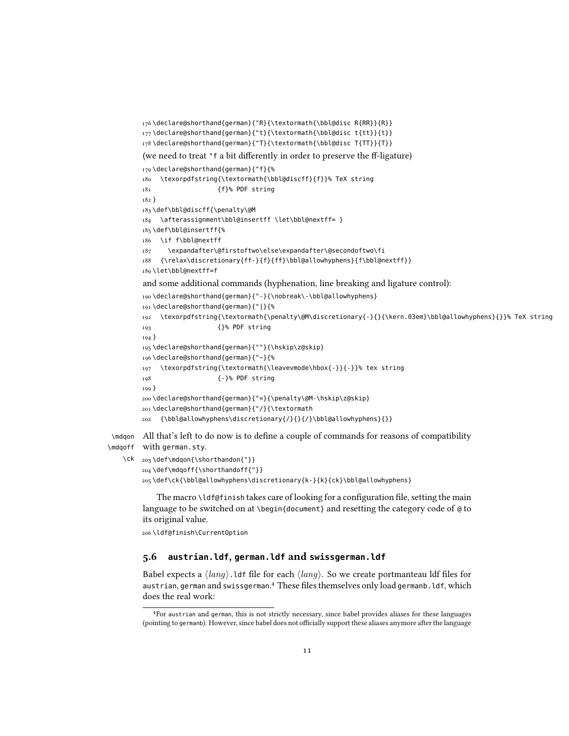```
176 \declare@shorthand{german}{"R}{\textormath{\bbl@disc R{RR}}{R}}
       177 \declare@shorthand{german}{"t}{\textormath{\bbl@disc t{tt}}{t}}
       178 \declare@shorthand{german}{"T}{\textormath{\bbl@disc T{TT}}{T}}
       (we need to treat "f a bit differently in order to preserve the ff-ligature)
       179 \declare@shorthand{german}{"f}{%
       180 \texorpdfstring{\textormath{\bbl@discff}{f}}% TeX string
       181 {f}% PDF string
       182 }
       183 \def\bbl@discff{\penalty\@M
       184 \afterassignment\bbl@insertff \let\bbl@nextff= }
       185 \def\bbl@insertff{%
       186 \if f\bbl@nextff
       187 \expandafter\@firstoftwo\else\expandafter\@secondoftwo\fi
       188 {\relax\discretionary{ff-}{f}{ff}\bbl@allowhyphens}{f\bbl@nextff}}
       189 \let\bbl@nextff=f
       and some additional commands (hyphenation, line breaking and ligature control):
       190 \declare@shorthand{german}{"-}{\nobreak\-\bbl@allowhyphens}
       191 \declare@shorthand{german}{"|}{%
       192 \texorpdfstring{\textormath{\penalty\@M\discretionary{-}{}{\kern.03em}\bbl@allowhyphens}{}}% TeX string
       193 {}% PDF string
       194 }
       195 \declare@shorthand{german}{""}{\hskip\z@skip}
       196 \declare@shorthand{german}{"~}{%
       197 \texorpdfstring{\textormath{\leavevmode\hbox{-}}{-}}% tex string
       198 {-}% PDF string
       199 }
       200 \declare@shorthand{german}{"=}{\penalty\@M-\hskip\z@skip}
       201 \declare@shorthand{german}{"/}{\textormath
       202 {\bbl@allowhyphens\discretionary{/}{}{/}\bbl@allowhyphens}{}}
\mdqon
All that's left to do now is to dene a couple of commands for reasons of compatibility
```

```
\mdqoff
with german.sty.
```

```
\ck
203 \def\mdqon{\shorthandon{"}}
    204 \def\mdqoff{\shorthandoff{"}}
    205 \def\ck{\bbl@allowhyphens\discretionary{k-}{k}{ck}\bbl@allowhyphens}
```
The macro  $\mathcal{U}$  defortion takes care of looking for a configuration file, setting the main language to be switched on at \begin{document} and resetting the category code of @ to its original value.

\ldf@finish\CurrentOption

#### 5.6 **austrian.ldf**, **german.ldf** and **swissgerman.ldf**

Babel expects a  $\langle \text{lang} \rangle$ . Ldf file for each  $\langle \text{lang} \rangle$ . So we create portmanteau ldf files for austrian, german and swissgerman.<sup>[4](#page-10-0)</sup> These files themselves only load germanb.ldf, which does the real work:

<span id="page-10-0"></span>For austrian and german, this is not strictly necessary, since babel provides aliases for these languages (pointing to germanb). However, since babel does not officially support these aliases anymore after the language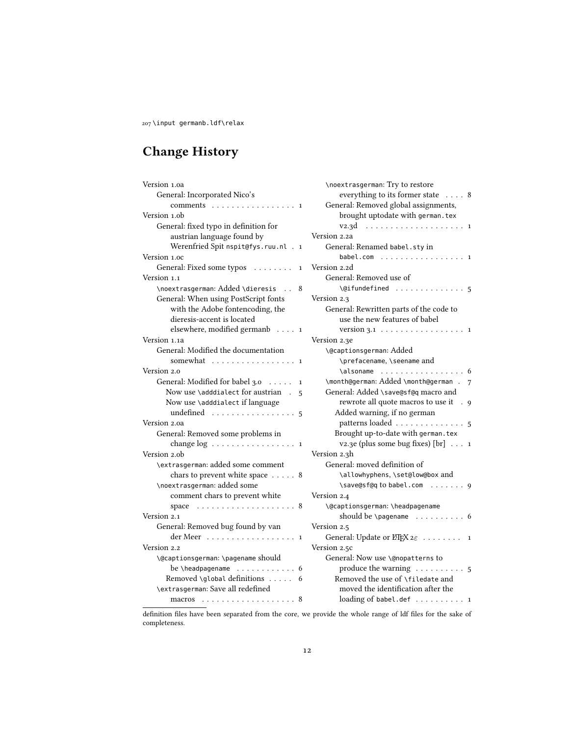207 \input germanb.ldf\relax

# Change History

| Version 1.0a                                             |              | \noex          |
|----------------------------------------------------------|--------------|----------------|
| General: Incorporated Nico's                             |              | e١             |
| comments<br>$\sim$                                       | 1            | Genei          |
| Version 1.0b                                             |              | Ъı             |
| General: fixed typo in definition for                    |              | V.             |
| austrian language found by                               |              | Version 2.     |
| Werenfried Spit nspit@fys.ruu.nl<br>$\cdot$ 1            |              | Gener          |
| Version 1.0c                                             |              | ba             |
| General: Fixed some typos                                | $\mathbf 1$  | Version 2.     |
| Version 1.1                                              |              | Gener          |
| \noextrasgerman: Added \dieresis<br>$\ddot{\phantom{a}}$ | 8            | \(             |
| General: When using PostScript fonts                     |              | Version 2.     |
| with the Adobe fontencoding, the                         |              | Gener          |
| dieresis-accent is located                               |              | $\mathbf{u}$   |
| elsewhere, modified germanb 1                            |              | $V_{\alpha}$   |
| Version 1.1a                                             |              | Version 2.     |
| General: Modified the documentation                      |              | \@cap          |
| somewhat                                                 | $\mathbf{1}$ | \۱             |
| Version 2.0                                              |              | ءَ\            |
| General: Modified for babel 3.0<br>$\ldots$              | $\mathbf{1}$ | \mont          |
| Now use \adddialect for austrian<br>J.                   | 5            | Genei          |
| Now use \adddialect if language                          |              | r <sub>6</sub> |
| undefined                                                | 5            | Ad             |
| Version 2.0a                                             |              | p              |
| General: Removed some problems in                        |              | Bro            |
| change $log \ldots \ldots \ldots \ldots \ldots 1$        |              | V.             |
| Version 2.0b                                             |              | Version 2.     |
| \extrasgerman: added some comment                        |              | Gener          |
| chars to prevent white space 8                           |              | ١a             |
| \noextrasgerman: added some                              |              | ، ۱            |
| comment chars to prevent white                           |              | Version 2.     |
| space                                                    | 8            | \@cap          |
| Version 2.1                                              |              | sł             |
| General: Removed bug found by van                        |              | Version 2.     |
| $der Meer$ 1                                             |              | Genei          |
| Version 2.2                                              |              | Version 2.     |
| \@captionsgerman: \pagename should                       |              | Genei          |
|                                                          | 6            | p              |
| Removed \global definitions                              | 6            | Rei            |
| \extrasgerman: Save all redefined                        |              | m              |
|                                                          |              | lo             |
|                                                          |              |                |

| \noextrasgerman: Try to restore                             |
|-------------------------------------------------------------|
| everything to its former state  8                           |
| General: Removed global assignments,                        |
| brought uptodate with german.tex                            |
| v2.3d<br>.<br>1                                             |
| Version 2.2a                                                |
| General: Renamed babel.sty in                               |
| babel.com<br>$\sim$<br>1                                    |
| Version 2.2d                                                |
| General: Removed use of                                     |
| \@ifundefined<br>.<br>5                                     |
| Version 2.3                                                 |
| General: Rewritten parts of the code to                     |
| use the new features of babel                               |
| version $3.1$<br>$\cdot$ 1                                  |
| Version 2.3e                                                |
| \@captionsgerman: Added                                     |
| \prefacename, \seename and                                  |
| \alsoname<br>.<br>6                                         |
| \month@german: Added \month@german .<br>7                   |
| General: Added \save@sf@q macro and                         |
| rewrote all quote macros to use it<br>9                     |
| Added warning, if no german                                 |
| patterns loaded<br>5                                        |
| Brought up-to-date with german.tex                          |
| v2.3e (plus some bug fixes) $[br]$<br>$\mathbf{1}$          |
| Version 2.3h                                                |
| General: moved definition of                                |
| \allowhyphens, \set@low@box and                             |
| \save@sf@q to babel.com  9                                  |
| Version 2.4                                                 |
| \@captionsgerman: \headpagename                             |
| should be \pagename $\dots\dots\dots$<br>6                  |
| Version 2.5                                                 |
| General: Update or $E\rightarrow E\times z_{\epsilon}$<br>1 |
| Version 2.5c                                                |
| General: Now use \@nopatterns to                            |
| produce the warning $\dots \dots$<br>5                      |
| Removed the use of \filedate and                            |
| moved the identification after the                          |
| loading of babel.def<br>1                                   |

definition files have been separated from the core, we provide the whole range of ldf files for the sake of completeness.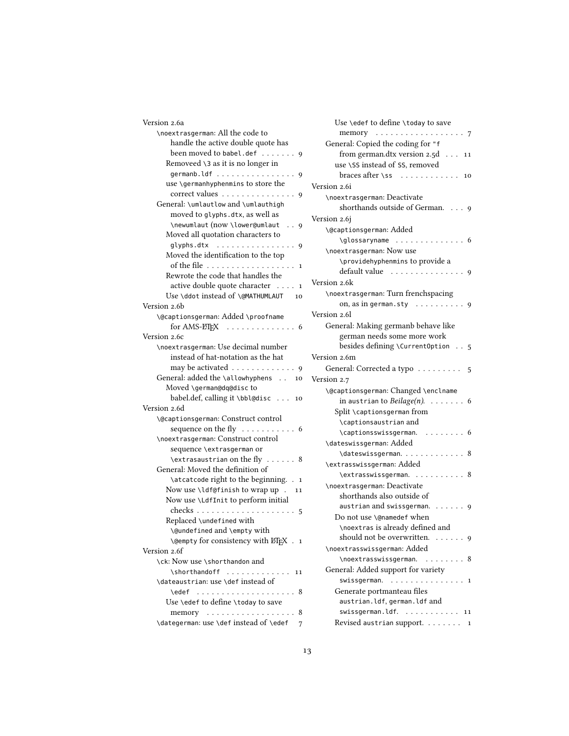| Version 2.6a                                                               |  |  |
|----------------------------------------------------------------------------|--|--|
| \noextrasgerman: All the code to                                           |  |  |
| handle the active double quote has                                         |  |  |
| been moved to babel.def 9                                                  |  |  |
| Removeed \3 as it is no longer in                                          |  |  |
| germanb.ldf 9                                                              |  |  |
| use \germanhyphenmins to store the                                         |  |  |
| correct values 9                                                           |  |  |
| General: \umlautlow and \umlauthigh                                        |  |  |
| moved to glyphs.dtx, as well as                                            |  |  |
| \newumlaut (now \lower@umlaut  9                                           |  |  |
| Moved all quotation characters to                                          |  |  |
| glyphs.dtx<br>9                                                            |  |  |
| Moved the identification to the top                                        |  |  |
| of the file<br>1                                                           |  |  |
| Rewrote the code that handles the                                          |  |  |
| active double quote character 1                                            |  |  |
| Use \ddot instead of \@MATHUMLAUT 10                                       |  |  |
| Version 2.6b                                                               |  |  |
| \@captionsgerman: Added \proofname                                         |  |  |
| for AMS-ETEX $\dots \dots \dots \dots \dots$                               |  |  |
| Version 2.6c                                                               |  |  |
| \noextrasgerman: Use decimal number                                        |  |  |
| instead of hat-notation as the hat                                         |  |  |
| may be activated $\ldots \ldots \ldots \ldots$ 9                           |  |  |
| General: added the \allowhyphens 10                                        |  |  |
| Moved \german@dq@disc to                                                   |  |  |
| babel.def, calling it \bbl@disc  10                                        |  |  |
| Version 2.6d                                                               |  |  |
| \@captionsgerman: Construct control                                        |  |  |
| sequence on the fly 6                                                      |  |  |
| \noextrasgerman: Construct control                                         |  |  |
| sequence \extrasgerman or                                                  |  |  |
| $\text{v}\text{-}\text{c}$<br>General: Moved the definition of             |  |  |
|                                                                            |  |  |
| \atcatcode right to the beginning. . 1<br>Now use \ldf@finish to wrap up . |  |  |
| 11<br>Now use \LdfInit to perform initial                                  |  |  |
|                                                                            |  |  |
| Replaced \undefined with                                                   |  |  |
| \@undefined and \empty with                                                |  |  |
| \@empty for consistency with LTFX . 1                                      |  |  |
| Version 2.6f                                                               |  |  |
| \ck: Now use \shorthandon and                                              |  |  |
| \shorthandoff  11                                                          |  |  |
| \dateaustrian: use \def instead of                                         |  |  |
| \edef  8                                                                   |  |  |
| Use \edef to define \today to save                                         |  |  |
| memory  8                                                                  |  |  |
|                                                                            |  |  |

| ion 2.6a                                                                                                | Use \edef to define \today to save            |
|---------------------------------------------------------------------------------------------------------|-----------------------------------------------|
| \noextrasgerman: All the code to                                                                        | memory<br>$\cdots$ 7                          |
| handle the active double quote has                                                                      | General: Copied the coding for "f             |
| been moved to babel.def 9                                                                               | from german.dtx version $2.5d \ldots$<br>11   |
| Removeed \3 as it is no longer in                                                                       | use \SS instead of SS, removed                |
| germanb.ldf 9                                                                                           | braces after \ss $\dots\dots\dots$<br>10      |
| use \germanhyphenmins to store the                                                                      | Version 2.6i                                  |
| correct values $\ldots \ldots \ldots \ldots$ 9                                                          | \noextrasgerman: Deactivate                   |
| General: \umlautlow and \umlauthigh                                                                     | shorthands outside of German. 9               |
| moved to glyphs.dtx, as well as                                                                         | Version 2.6j                                  |
| \newumlaut (now \lower@umlaut<br>$\cdot$ 9                                                              |                                               |
| Moved all quotation characters to                                                                       | \@captionsgerman: Added                       |
| glyphs.dtx  9                                                                                           | \glossaryname  6                              |
| Moved the identification to the top                                                                     | \noextrasgerman: Now use                      |
| of the file 1                                                                                           | \providehyphenmins to provide a               |
| Rewrote the code that handles the                                                                       | default value $\ldots \ldots \ldots \ldots$ 9 |
| active double quote character 1                                                                         | Version 2.6k                                  |
| Use \ddot instead of \@MATHUMLAUT<br>10                                                                 | \noextrasgerman: Turn frenchspacing           |
| ion 2.6b                                                                                                | on, as in german.sty $\dots \dots \dots$ 9    |
| \@captionsgerman: Added \proofname                                                                      | Version 2.61                                  |
| for AMS-ETEX $\dots \dots \dots \dots \dots$                                                            | General: Making germanb behave like           |
| ion 2.6c                                                                                                | german needs some more work                   |
| \noextrasgerman: Use decimal number                                                                     | besides defining \CurrentOption 5             |
| instead of hat-notation as the hat                                                                      | Version 2.6m                                  |
| may be activated $\ldots \ldots \ldots \ldots$ 9                                                        | General: Corrected a typo 5                   |
| General: added the \allowhyphens<br>10                                                                  | Version 2.7                                   |
| Moved \german@dq@disc to                                                                                | \@captionsgerman: Changed \enclname           |
| babel.def, calling it \bbl@disc $\dots$<br>10                                                           | in austrian to Beilage $(n)$ . 6              |
| ion 2.6d                                                                                                | Split \captionsgerman from                    |
| <b>\@captionsgerman: Construct control</b>                                                              | \captionsaustrian and                         |
|                                                                                                         | $\cap$ $\in$ 6                                |
| \noextrasgerman: Construct control                                                                      | \dateswissgerman: Added                       |
| sequence \extrasgerman or                                                                               | \dateswissgerman. 8                           |
| $\text{v}\text{-}\text{c}$                                                                              | \extrasswissgerman: Added                     |
| General: Moved the definition of                                                                        | \extrasswissgerman. 8                         |
| \atcatcode right to the beginning. . 1                                                                  | \noextrasgerman: Deactivate                   |
| Now use \ldf@finish to wrap up .<br>11                                                                  | shorthands also outside of                    |
| Now use \LdfInit to perform initial                                                                     | austrian and swissgerman. $\ldots$ , 9        |
|                                                                                                         | Do not use \@namedef when                     |
| Replaced \undefined with                                                                                | \noextras is already defined and              |
| \@undefined and \empty with                                                                             | should not be overwritten. 9                  |
| \@empty for consistency with LHEX . 1                                                                   | \noextrasswissgerman: Added                   |
| ion 2.6f                                                                                                | \noextrasswissgerman.  8                      |
| \ck: Now use \shorthandon and                                                                           | General: Added support for variety            |
| \shorthandoff  11                                                                                       | swissgerman.  1                               |
| \dateaustrian: use \def instead of                                                                      | Generate portmanteau files                    |
| $\text{edge} \quad \ldots \quad \ldots \quad \ldots \quad \ldots$<br>Use \edef to define \today to save | austrian.ldf, german.ldf and                  |
|                                                                                                         | swissgerman.ldf. 11                           |
| memory $\dots\dots\dots\dots\dots\dots$ 8<br>\dategerman: use \def instead of \edef $\frac{7}{4}$       |                                               |
|                                                                                                         | Revised austrian support. 1                   |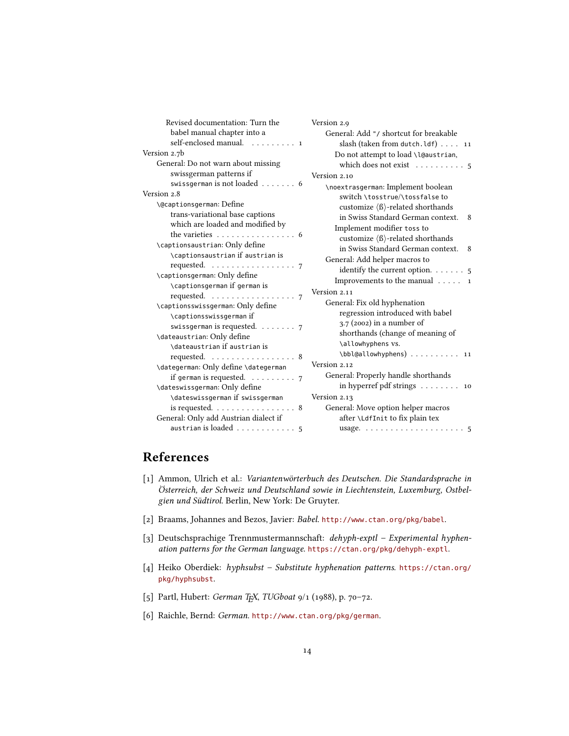| Revised documentation: Turn the                                                   | Version 2.9                                                 |
|-----------------------------------------------------------------------------------|-------------------------------------------------------------|
| babel manual chapter into a                                                       | General: Add "/ shortcut for breakable                      |
| self-enclosed manual. 1                                                           | slash (taken from dutch.ldf) $\dots$ 11                     |
| Version 2.7b                                                                      | Do not attempt to load \l@austrian,                         |
| General: Do not warn about missing                                                | which does not exist $\dots \dots \dots$ 5                  |
| swissgerman patterns if                                                           | Version 2.10                                                |
| swissgerman is not loaded 6                                                       | \noextrasgerman: Implement boolean                          |
| Version 2.8                                                                       | switch \tosstrue/\tossfalse to                              |
| \@captionsgerman: Define                                                          | customize $\langle \beta \rangle$ -related shorthands       |
| trans-variational base captions                                                   | in Swiss Standard German context.<br>8                      |
| which are loaded and modified by                                                  | Implement modifier toss to                                  |
| the varieties $\ldots \ldots \ldots \ldots \ldots 6$                              | customize $\langle \beta \rangle$ -related shorthands       |
| \captionsaustrian: Only define                                                    | in Swiss Standard German context.<br>8                      |
| \captionsaustrian if austrian is                                                  | General: Add helper macros to                               |
| requested. 7                                                                      | identify the current option. $\dots \dots$ 5                |
| \captionsgerman: Only define                                                      | Improvements to the manual $\dots$ 1                        |
| \captionsgerman if german is<br>requested. $\ldots \ldots \ldots \ldots \ldots$ 7 | Version 2.11                                                |
| \captionsswissgerman: Only define                                                 | General: Fix old hyphenation                                |
| \captionsswissgerman if                                                           | regression introduced with babel                            |
| swissgerman is requested. $\ldots \ldots$ 7                                       | $3.7$ (2002) in a number of                                 |
| \dateaustrian: Only define                                                        | shorthands (change of meaning of                            |
| \dateaustrian if austrian is                                                      | \allowhyphens vs.                                           |
| requested. 8                                                                      | \bbl@allowhyphens)  11                                      |
| \dategerman: Only define \dategerman                                              | Version 2.12                                                |
| if german is requested. $\ldots \ldots \ldots$ 7                                  | General: Properly handle shorthands                         |
| \dateswissgerman: Only define                                                     | in hyperref pdf strings $\dots \dots \dots$ 10              |
| \dateswissgerman if swissgerman                                                   | Version 2.13                                                |
| is requested. $\ldots \ldots \ldots \ldots \ldots 8$                              | General: Move option helper macros                          |
| General: Only add Austrian dialect if                                             | after \LdfInit to fix plain tex                             |
| austrian is loaded $\ldots \ldots \ldots$ 5                                       | usage. $\ldots \ldots \ldots \ldots \ldots \ldots \ldots 5$ |

## References

- <span id="page-13-5"></span>[1] Ammon, Ulrich et al.: Variantenwörterbuch des Deutschen. Die Standardsprache in Österreich, der Schweiz und Deutschland sowie in Liechtenstein, Luxemburg, Ostbelgien und Südtirol. Berlin, New York: De Gruyter.
- <span id="page-13-0"></span>[2] Braams, Johannes and Bezos, Javier: Babel. <http://www.ctan.org/pkg/babel>.
- <span id="page-13-3"></span>[3] Deutschsprachige Trennmustermannschaft: dehyph-exptl – Experimental hyphenation patterns for the German language. <https://ctan.org/pkg/dehyph-exptl>.
- <span id="page-13-4"></span>[4] Heiko Oberdiek: hyphsubst – Substitute hyphenation patterns. [https://ctan.org/](https://ctan.org/pkg/hyphsubst) [pkg/hyphsubst](https://ctan.org/pkg/hyphsubst).
- <span id="page-13-1"></span>[5] Partl, Hubert: German TEX, TUGboat 9/1 (1988), p. 70-72.
- <span id="page-13-2"></span>[6] Raichle, Bernd: German. <http://www.ctan.org/pkg/german>.